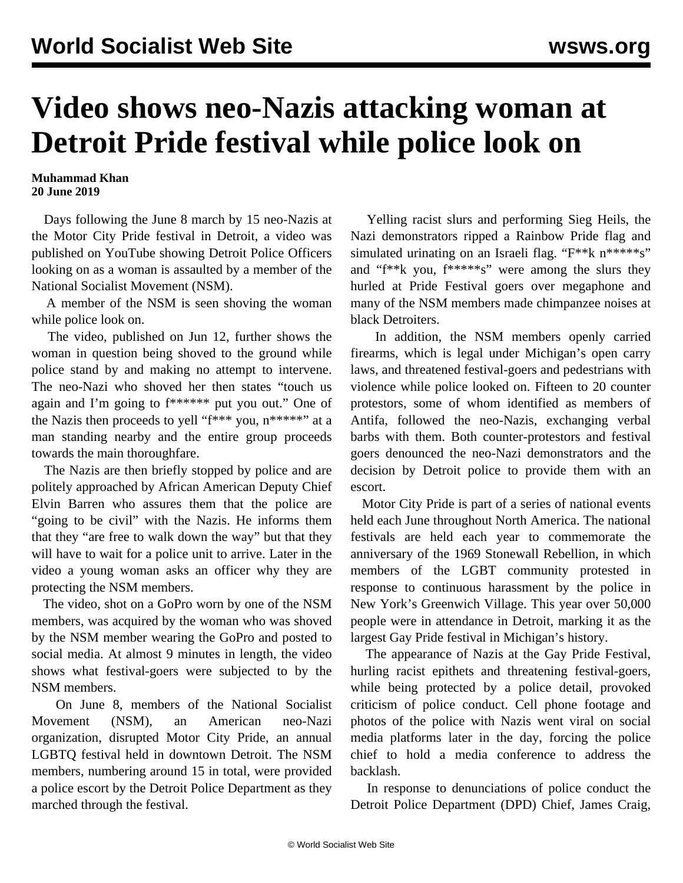## **Video shows neo-Nazis attacking woman at Detroit Pride festival while police look on**

## **Muhammad Khan 20 June 2019**

 Days following the June 8 march by 15 neo-Nazis at the Motor City Pride festival in Detroit, a video was published on YouTube showing Detroit Police Officers looking on as a woman is assaulted by a member of the National Socialist Movement (NSM).

 A member of the NSM is seen shoving the woman while police look on.

 The video, published on Jun 12, further shows the woman in question being shoved to the ground while police stand by and making no attempt to intervene. The neo-Nazi who shoved her then states "touch us again and I'm going to f\*\*\*\*\*\* put you out." One of the Nazis then proceeds to yell " $f***$ " you,  $n***$ "" at a man standing nearby and the entire group proceeds towards the main thoroughfare.

 The Nazis are then briefly stopped by police and are politely approached by African American Deputy Chief Elvin Barren who assures them that the police are "going to be civil" with the Nazis. He informs them that they "are free to walk down the way" but that they will have to wait for a police unit to arrive. Later in the video a young woman asks an officer why they are protecting the NSM members.

 The video, shot on a GoPro worn by one of the NSM members, was acquired by the woman who was shoved by the NSM member wearing the GoPro and posted to social media. At almost 9 minutes in length, the video shows what festival-goers were subjected to by the NSM members.

 On June 8, members of the National Socialist Movement (NSM), an American neo-Nazi organization, disrupted Motor City Pride, an annual LGBTQ festival held in downtown Detroit. The NSM members, numbering around 15 in total, were provided a police escort by the Detroit Police Department as they marched through the festival.

 Yelling racist slurs and performing Sieg Heils, the Nazi demonstrators ripped a Rainbow Pride flag and simulated urinating on an Israeli flag. "F\*\*k n\*\*\*\*\*s" and "f\*\*k you, f\*\*\*\*\*s" were among the slurs they hurled at Pride Festival goers over megaphone and many of the NSM members made chimpanzee noises at black Detroiters.

 In addition, the NSM members openly carried firearms, which is legal under Michigan's open carry laws, and threatened festival-goers and pedestrians with violence while police looked on. Fifteen to 20 counter protestors, some of whom identified as members of Antifa, followed the neo-Nazis, exchanging verbal barbs with them. Both counter-protestors and festival goers denounced the neo-Nazi demonstrators and the decision by Detroit police to provide them with an escort.

 Motor City Pride is part of a series of national events held each June throughout North America. The national festivals are held each year to commemorate the anniversary of the 1969 Stonewall Rebellion, in which members of the LGBT community protested in response to continuous harassment by the police in New York's Greenwich Village. This year over 50,000 people were in attendance in Detroit, marking it as the largest Gay Pride festival in Michigan's history.

 The appearance of Nazis at the Gay Pride Festival, hurling racist epithets and threatening festival-goers, while being protected by a police detail, provoked criticism of police conduct. Cell phone footage and photos of the police with Nazis went viral on social media platforms later in the day, forcing the police chief to hold a media conference to address the backlash.

 In response to denunciations of police conduct the Detroit Police Department (DPD) Chief, James Craig,